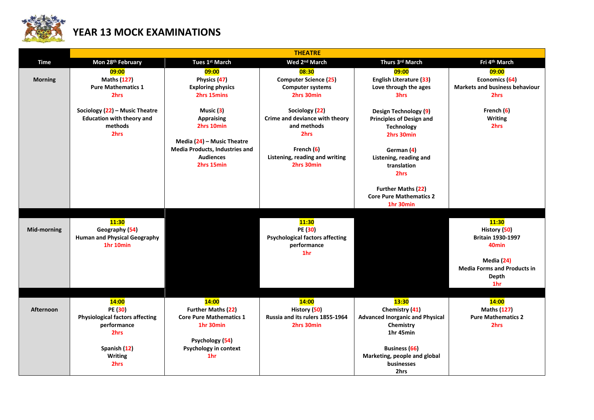

## **YEAR 13 MOCK EXAMINATIONS**

|                    | <b>THEATRE</b>                                                                                                                     |                                                                                                                                                |                                                                                                                                       |                                                                                                                                                                                  |                                                                                                                                                          |  |  |  |
|--------------------|------------------------------------------------------------------------------------------------------------------------------------|------------------------------------------------------------------------------------------------------------------------------------------------|---------------------------------------------------------------------------------------------------------------------------------------|----------------------------------------------------------------------------------------------------------------------------------------------------------------------------------|----------------------------------------------------------------------------------------------------------------------------------------------------------|--|--|--|
| Time               | Mon 28th February                                                                                                                  | Tues 1st March                                                                                                                                 | Wed 2 <sup>nd</sup> March                                                                                                             | Thurs 3rd March                                                                                                                                                                  | Fri 4th March                                                                                                                                            |  |  |  |
| <b>Morning</b>     | 09:00<br><b>Maths (127)</b><br><b>Pure Mathematics 1</b><br>2hrs                                                                   | 09:00<br>Physics (47)<br><b>Exploring physics</b><br>2hrs 15mins                                                                               | 08:30<br><b>Computer Science (25)</b><br><b>Computer systems</b><br>2hrs 30min                                                        | 09:00<br><b>English Literature (33)</b><br>Love through the ages<br>3hrs                                                                                                         | 09:00<br>Economics (64)<br><b>Markets and business behaviour</b><br>2hrs                                                                                 |  |  |  |
|                    | Sociology (22) - Music Theatre<br><b>Education with theory and</b><br>methods<br>2hrs                                              | Music (3)<br><b>Appraising</b><br>2hrs 10min<br>Media (24) - Music Theatre<br>Media Products, Industries and<br><b>Audiences</b><br>2hrs 15min | Sociology (22)<br>Crime and deviance with theory<br>and methods<br>2hrs<br>French (6)<br>Listening, reading and writing<br>2hrs 30min | Design Technology (9)<br><b>Principles of Design and</b><br><b>Technology</b><br>2hrs 30min<br>German (4)<br>Listening, reading and<br>translation<br>2hrs                       | French (6)<br><b>Writing</b><br>2hrs                                                                                                                     |  |  |  |
|                    |                                                                                                                                    |                                                                                                                                                |                                                                                                                                       | <b>Further Maths (22)</b><br><b>Core Pure Mathematics 2</b><br>1hr 30min                                                                                                         |                                                                                                                                                          |  |  |  |
| <b>Mid-morning</b> | <b>11:30</b><br>Geography (54)<br><b>Human and Physical Geography</b><br>1hr 10min                                                 |                                                                                                                                                | 11:30<br>PE (30)<br><b>Psychological factors affecting</b><br>performance<br>1hr                                                      |                                                                                                                                                                                  | <b>11:30</b><br>History (50)<br><b>Britain 1930-1997</b><br>40 <sub>min</sub><br>Media (24)<br><b>Media Forms and Products in</b><br><b>Depth</b><br>1hr |  |  |  |
| Afternoon          | <b>14:00</b><br>PE (30)<br><b>Physiological factors affecting</b><br>performance<br>2hrs<br>Spanish (12)<br><b>Writing</b><br>2hrs | 14:00<br><b>Further Maths (22)</b><br><b>Core Pure Mathematics 1</b><br>1hr 30min<br>Psychology (54)<br>Psychology in context<br>1hr           | <b>14:00</b><br>History (50)<br>Russia and its rulers 1855-1964<br>2hrs 30min                                                         | <b>13:30</b><br>Chemistry (41)<br><b>Advanced Inorganic and Physical</b><br>Chemistry<br>1hr 45min<br><b>Business</b> (66)<br>Marketing, people and global<br>businesses<br>2hrs | <b>14:00</b><br><b>Maths (127)</b><br><b>Pure Mathematics 2</b><br>2hrs                                                                                  |  |  |  |